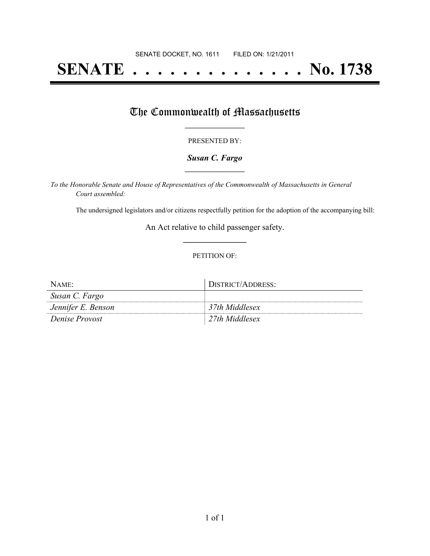## **SENATE . . . . . . . . . . . . . . No. 1738**

### The Commonwealth of Massachusetts

#### PRESENTED BY:

#### *Susan C. Fargo* **\_\_\_\_\_\_\_\_\_\_\_\_\_\_\_\_\_**

*To the Honorable Senate and House of Representatives of the Commonwealth of Massachusetts in General Court assembled:*

The undersigned legislators and/or citizens respectfully petition for the adoption of the accompanying bill:

An Act relative to child passenger safety. **\_\_\_\_\_\_\_\_\_\_\_\_\_\_\_**

#### PETITION OF:

| $NAME$ :              | DISTRICT/ADDRESS: |
|-----------------------|-------------------|
| Susan C. Fargo        |                   |
| Jennifer E. Benson    | 37th Middlesex    |
| <i>Denise Provost</i> | 27th Middlesex    |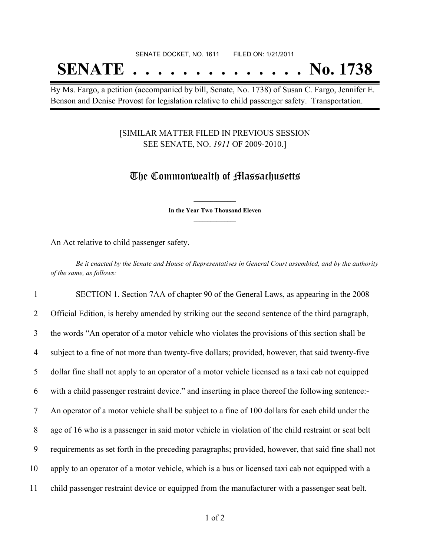#### SENATE DOCKET, NO. 1611 FILED ON: 1/21/2011

# **SENATE . . . . . . . . . . . . . . No. 1738**

By Ms. Fargo, a petition (accompanied by bill, Senate, No. 1738) of Susan C. Fargo, Jennifer E. Benson and Denise Provost for legislation relative to child passenger safety. Transportation.

#### [SIMILAR MATTER FILED IN PREVIOUS SESSION SEE SENATE, NO. *1911* OF 2009-2010.]

### The Commonwealth of Massachusetts

**\_\_\_\_\_\_\_\_\_\_\_\_\_\_\_ In the Year Two Thousand Eleven \_\_\_\_\_\_\_\_\_\_\_\_\_\_\_**

An Act relative to child passenger safety.

Be it enacted by the Senate and House of Representatives in General Court assembled, and by the authority *of the same, as follows:*

 SECTION 1. Section 7AA of chapter 90 of the General Laws, as appearing in the 2008 Official Edition, is hereby amended by striking out the second sentence of the third paragraph, the words "An operator of a motor vehicle who violates the provisions of this section shall be subject to a fine of not more than twenty-five dollars; provided, however, that said twenty-five dollar fine shall not apply to an operator of a motor vehicle licensed as a taxi cab not equipped with a child passenger restraint device." and inserting in place thereof the following sentence:- An operator of a motor vehicle shall be subject to a fine of 100 dollars for each child under the age of 16 who is a passenger in said motor vehicle in violation of the child restraint or seat belt requirements as set forth in the preceding paragraphs; provided, however, that said fine shall not apply to an operator of a motor vehicle, which is a bus or licensed taxi cab not equipped with a child passenger restraint device or equipped from the manufacturer with a passenger seat belt.